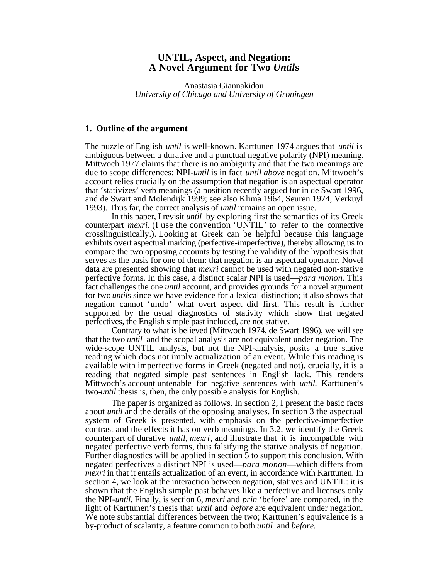# **UNTIL, Aspect, and Negation: A Novel Argument for Two** *Until***s**

Anastasia Giannakidou *University of Chicago and University of Groningen*

#### **1. Outline of the argument**

The puzzle of English *until* is well-known. Karttunen 1974 argues that *until* is ambiguous between a durative and a punctual negative polarity (NPI) meaning. Mittwoch 1977 claims that there is no ambiguity and that the two meanings are due to scope differences: NPI-*until* is in fact *until above* negation. Mittwoch's account relies crucially on the assumption that negation is an aspectual operator that 'stativizes' verb meanings (a position recently argued for in de Swart 1996, and de Swart and Molendijk 1999; see also Klima 1964, Seuren 1974, Verkuyl 1993). Thus far, the correct analysis of *until* remains an open issue.

In this paper, I revisit *until* by exploring first the semantics of its Greek counterpart *mexri*. (I use the convention 'UNTIL' to refer to the connective crosslinguistically.). Looking at Greek can be helpful because this language exhibits overt aspectual marking (perfective-imperfective), thereby allowing us to compare the two opposing accounts by testing the validity of the hypothesis that serves as the basis for one of them: that negation is an aspectual operator. Novel data are presented showing that *mexri* cannot be used with negated non-stative perfective forms. In this case, a distinct scalar NPI is used—*para monon*. This fact challenges the one *until* account, and provides grounds for a novel argument for two *until*s since we have evidence for a lexical distinction; it also shows that negation cannot 'undo' what overt aspect did first. This result is further supported by the usual diagnostics of stativity which show that negated perfectives, the English simple past included, are not stative.

Contrary to what is believed (Mittwoch 1974, de Swart 1996), we will see that the two *until* and the scopal analysis are not equivalent under negation. The wide-scope UNTIL analysis, but not the NPI-analysis, posits a true stative reading which does not imply actualization of an event. While this reading is available with imperfective forms in Greek (negated and not), crucially, it is a reading that negated simple past sentences in English lack. This renders Mittwoch's account untenable for negative sentences with *until.* Karttunen's two-*until* thesis is, then, the only possible analysis for English.

The paper is organized as follows. In section 2, I present the basic facts about *until* and the details of the opposing analyses. In section 3 the aspectual system of Greek is presented, with emphasis on the perfective-imperfective contrast and the effects it has on verb meanings. In 3.2, we identify the Greek counterpart of durative *until, mexri*, and illustrate that it is incompatible with negated perfective verb forms, thus falsifying the stative analysis of negation. Further diagnostics will be applied in section 5 to support this conclusion. With negated perfectives a distinct NPI is used—*para monon*—which differs from *mexri* in that it entails actualization of an event, in accordance with Karttunen. In section 4, we look at the interaction between negation, statives and UNTIL: it is shown that the English simple past behaves like a perfective and licenses only the NPI-*until*. Finally, is section 6, *mexri* and *prin* 'before' are compared, in the light of Karttunen's thesis that *until* and *before* are equivalent under negation. We note substantial differences between the two; Karttunen's equivalence is a by-product of scalarity, a feature common to both *until* and *before*.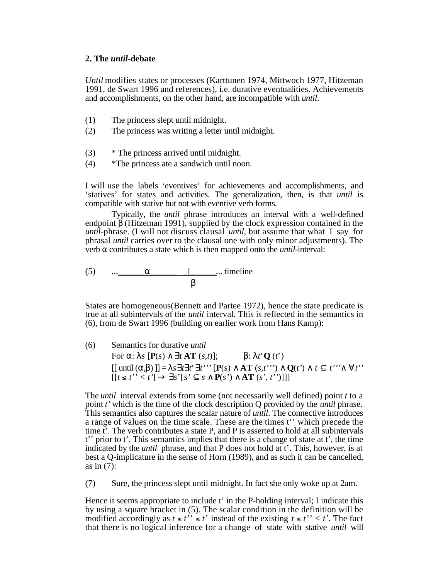## **2. The** *until-***debate**

*Until* modifies states or processes (Karttunen 1974, Mittwoch 1977, Hitzeman 1991, de Swart 1996 and references), i.e. durative eventualities. Achievements and accomplishments, on the other hand, are incompatible with *until*.

- (1) The princess slept until midnight.
- (2) The princess was writing a letter until midnight.
- (3) \* The princess arrived until midnight.
- (4) \*The princess ate a sandwich until noon.

I will use the labels 'eventives' for achievements and accomplishments, and 'statives' for states and activities. The generalization, then, is that *until* is compatible with stative but not with eventive verb forms.

Typically, the *until* phrase introduces an interval with a well-defined endpoint (Hitzeman 1991), supplied by the clock expression contained in the *until*-phrase. (I will not discuss clausal *until*, but assume that what I say for phrasal *until* carries over to the clausal one with only minor adjustments). The verb contributes a state which is then mapped onto the *until*-interval:

 $(5)$  ...  $\qquad$   $\qquad$  ... timeline

States are homogeneous(Bennett and Partee 1972), hence the state predicate is true at all subintervals of the *until* interval. This is reflected in the semantics in (6), from de Swart 1996 (building on earlier work from Hans Kamp):

(6) Semantics for durative *until*

For :  $s [P(s) \t tAT (s,t)];$  :  $t'Q(t')$  $[[ \text{ until } (\ , \ )]] = s \ t \ t' \ t''' \ [P(s) \ \ AT \ (s,t''') \ \ Q(t') \ \ t \ \ t''' \ \ t''$  $[ [t \le t'>' < t'']$  *s*'[*s' s* **P**(*s'*) **AT** (*s', t''*)]]]

The *until* interval extends from some (not necessarily well defined) point *t* to a point *t'* which is the time of the clock description Q provided by the *until* phrase. This semantics also captures the scalar nature of *until*. The connective introduces a range of values on the time scale. These are the times t'' which precede the time t'. The verb contributes a state P, and P is asserted to hold at all subintervals t'' prior to t'. This semantics implies that there is a change of state at t', the time indicated by the *until* phrase, and that P does not hold at t'. This, however, is at best a Q-implicature in the sense of Horn (1989), and as such it can be cancelled, as in (7):

(7) Sure, the princess slept until midnight. In fact she only woke up at 2am.

Hence it seems appropriate to include t' in the P-holding interval; I indicate this by using a square bracket in (5). The scalar condition in the definition will be modified accordingly as  $t \le t'' \le t'$  instead of the existing  $t \le t'' < t'$ . The fact that there is no logical inference for a change of state with stative *until* will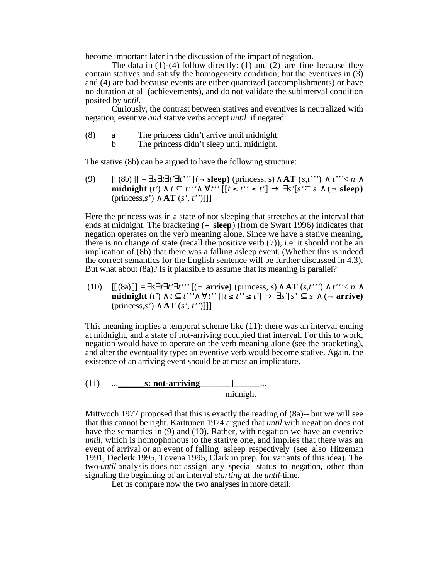become important later in the discussion of the impact of negation.

The data in  $(1)-(4)$  follow directly:  $(1)$  and  $(2)$  are fine because they contain statives and satisfy the homogeneity condition; but the eventives in (3) and (4) are bad because events are either quantized (accomplishments) or have no duration at all (achievements), and do not validate the subinterval condition posited by *until*.

Curiously, the contrast between statives and eventives is neutralized with negation; eventive *and* stative verbs accept *until* if negated:

- (8) a The princess didn't arrive until midnight.
	- The princess didn't sleep until midnight.

The stative (8b) can be argued to have the following structure:

(9)  $[[ (8b) ]] = s \, t \, t' \, t''' [(- \, \text{sleep}) \, (\text{pr} \, \text{ness}, s) \, \text{AT} \, (s, t'') \, t''' \leq n$ **midnight**  $(t')$   $t$   $t'$   $t''$   $[t' \le t''] \le t'$   $s'[s' \le s'']$  ( $\neg$  sleep) (princess,*s'*) **AT** (*s', t''*)]]]

Here the princess was in a state of not sleeping that stretches at the interval that ends at midnight. The bracketing  $\left( \text{-} \text{sleep} \right)$  (from de Swart 1996) indicates that negation operates on the verb meaning alone. Since we have a stative meaning, there is no change of state (recall the positive verb (7)), i.e. it should not be an implication of (8b) that there was a falling asleep event. (Whether this is indeed the correct semantics for the English sentence will be further discussed in 4.3). But what about (8a)? Is it plausible to assume that its meaning is parallel?

(10)  $[[ (8a)]] = s \, t \, t' \, t''' [(-\text{arrive}) \, (\text{pr} \, \text{ness}, s) \, \text{AT} \, (s, t'') \, t''' \leq n$ **midnight**  $(t')$   $t'$   $t''$   $t''$   $t''$  [[ $t \le t'' \le t'$ ]  $s'$  [s'  $s$  ( $\lnot$  arrive) (princess,*s'*) **AT** (*s', t''*)]]]

This meaning implies a temporal scheme like (11): there was an interval ending at midnight, and a state of not-arriving occupied that interval. For this to work, negation would have to operate on the verb meaning alone (see the bracketing), and alter the eventuality type: an eventive verb would become stative. Again, the existence of an arriving event should be at most an implicature.

 $(11)$  ... **s: not-arriving** \_\_\_\_\_\_] ... midnight

Mittwoch 1977 proposed that this is exactly the reading of (8a)-- but we will see that this cannot be right. Karttunen 1974 argued that *until* with negation does not have the semantics in (9) and (10). Rather, with negation we have an eventive *until*, which is homophonous to the stative one, and implies that there was an event of arrival or an event of falling asleep respectively (see also Hitzeman 1991, Declerk 1995, Tovena 1995, Clark in prep. for variants of this idea). The two-*until* analysis does not assign any special status to negation, other than signaling the beginning of an interval *starting* at the *until*-time.

Let us compare now the two analyses in more detail.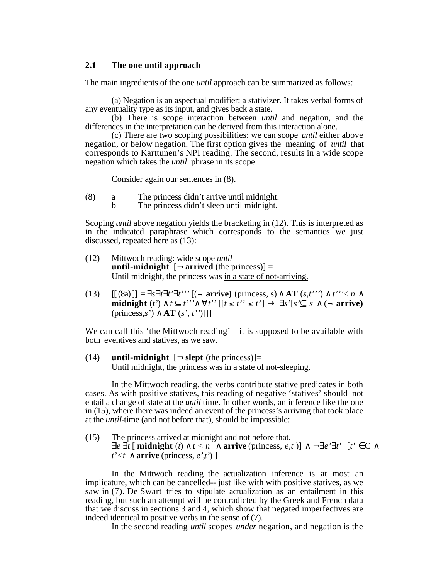# **2.1 The one until approach**

The main ingredients of the one *until* approach can be summarized as follows:

(a) Negation is an aspectual modifier: a stativizer. It takes verbal forms of any eventuality type as its input, and gives back a state.

(b) There is scope interaction between *until* and negation, and the differences in the interpretation can be derived from this interaction alone.

(c) There are two scoping possibilities: we can scope *until* either above negation, or below negation. The first option gives the meaning of *until* that corresponds to Karttunen's NPI reading. The second, results in a wide scope negation which takes the *until* phrase in its scope.

Consider again our sentences in (8).

- (8) a The princess didn't arrive until midnight.<br>b The princess didn't sleep until midnight.
	- The princess didn't sleep until midnight.

Scoping *until* above negation yields the bracketing in (12). This is interpreted as in the indicated paraphrase which corresponds to the semantics we just discussed, repeated here as (13):

- (12) Mittwoch reading: wide scope *until* **until-midnight**  $\lceil \neg \text{ arrived (the princes)} \rceil =$ Until midnight, the princess was in a state of not-arriving.
- (13)  $[[ (8a) ]] = s \, t \, t' \, t''' [(-\text{arrive}) (\text{pr} \, \text{cross}, s) \, \text{AT}(s, t'') \, t''' \leq n$ **midnight**  $(t')$   $t$   $t'$ "  $t''$  [[ $t \le t'' \le t'$ ]  $s' [s' \subseteq s \quad (- \text{ arrive})$ (princess,*s'*) **AT** (*s', t''*)]]]

We can call this 'the Mittwoch reading'—it is supposed to be available with both eventives and statives, as we saw.

 $(14)$  **until-midnight**  $\lceil \neg \text{ slept (the princes)} \rceil$ = Until midnight, the princess was in a state of not-sleeping.

In the Mittwoch reading, the verbs contribute stative predicates in both cases. As with positive statives, this reading of negative 'statives' should not entail a change of state at the *until* time. In other words, an inference like the one in (15), where there was indeed an event of the princess's arriving that took place at the *until-*time (and not before that), should be impossible:

(15) The princess arrived at midnight and not before that.<br>  $e \, t \, [\text{midnight}(t) \quad t < n \quad \text{arrive} \text{ (princess, } e, t]$ **arrive** (princess, *e,t* )]  $\rightarrow$  *e' t'* [*t'* C  $t' < t$  **arrive** (princess, *e',t'*) ]

In the Mittwoch reading the actualization inference is at most an implicature, which can be cancelled-- just like with with positive statives, as we saw in (7). De Swart tries to stipulate actualization as an entailment in this reading, but such an attempt will be contradicted by the Greek and French data that we discuss in sections 3 and 4, which show that negated imperfectives are indeed identical to positive verbs in the sense of (7).

In the second reading *until* scopes *under* negation, and negation is the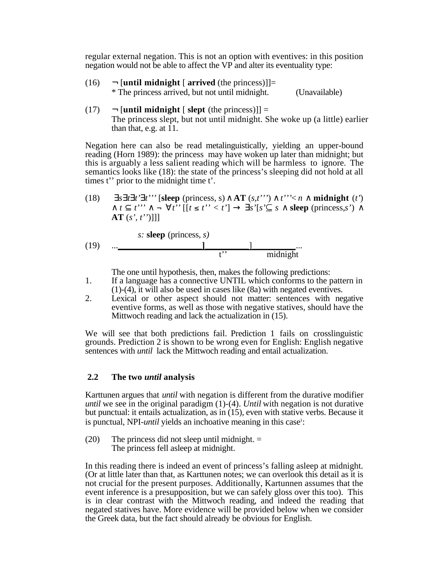regular external negation. This is not an option with eventives: in this position negation would not be able to affect the VP and alter its eventuality type:

- $(16)$   $\neg$  [**until midnight** [ **arrived** (the princess)]]= \* The princess arrived, but not until midnight. (Unavailable)
- (17)  $\rightarrow$  [**until midnight** [ **slept** (the princess)]] = The princess slept, but not until midnight. She woke up (a little) earlier than that, e.g. at  $11$ .

Negation here can also be read metalinguistically, yielding an upper-bound reading (Horn 1989): the princess may have woken up later than midnight; but this is arguably a less salient reading which will be harmless to ignore. The semantics looks like (18): the state of the princess's sleeping did not hold at all times t'' prior to the midnight time t'.

(18) 
$$
s \, t \, t' \, t''
$$
 [sleep (princess, s) AT  $(s, t'') \, t'' < n$  midnight  $(t')$   $t \, t'' \, \neg \, t''$  [[ $t \leq t'' < t'$ ]  $s'[s' \subseteq s]$  sleep (princess, s') AT  $(s', t'')$ ]]]

(19) 
$$
\begin{array}{ccc}\n & \text{s: sleep (princess, s)} \\
 & \text{l} \\
 & & \text{t}^2\n\end{array}
$$

The one until hypothesis, then, makes the following predictions:

- 1. If a language has a connective UNTIL which conforms to the pattern in (1)-(4), it will also be used in cases like (8a) with negated eventives.
- 2. Lexical or other aspect should not matter: sentences with negative eventive forms, as well as those with negative statives, should have the Mittwoch reading and lack the actualization in (15).

We will see that both predictions fail. Prediction 1 fails on crosslinguistic grounds. Prediction 2 is shown to be wrong even for English: English negative sentences with *until* lack the Mittwoch reading and entail actualization.

## **2.2 The two** *until* **analysis**

Karttunen argues that *until* with negation is different from the durative modifier *until* we see in the original paradigm (1)-(4). *Until* with negation is not durative but punctual: it entails actualization, as in (15), even with stative verbs. Because it is punctual, NPI-*until* yields an inchoative meaning in this case<sup>1</sup>:

 $(20)$  The princess did not sleep until midnight.  $=$ The princess fell asleep at midnight.

In this reading there is indeed an event of princess's falling asleep at midnight. (Or at little later than that, as Karttunen notes; we can overlook this detail as it is not crucial for the present purposes. Additionally, Kartunnen assumes that the event inference is a presupposition, but we can safely gloss over this too). This is in clear contrast with the Mittwoch reading, and indeed the reading that negated statives have. More evidence will be provided below when we consider the Greek data, but the fact should already be obvious for English.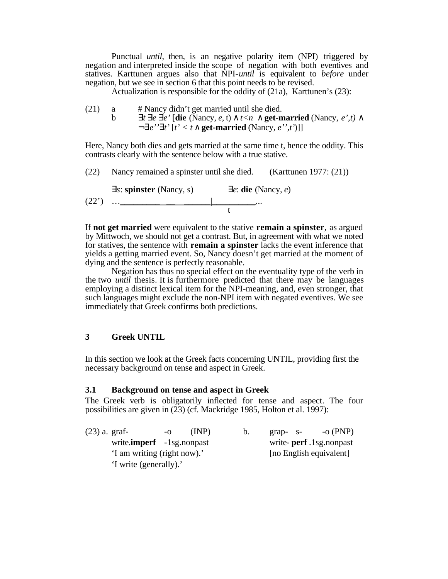Punctual *until*, then, is an negative polarity item (NPI) triggered by negation and interpreted inside the scope of negation with both eventives and statives. Karttunen argues also that NPI-*until* is equivalent to *before* under negation, but we see in section 6 that this point needs to be revised.

Actualization is responsible for the oddity of (21a), Karttunen's (23):

(21) a  $\#$  Nancy didn't get married until she died. b  $t \neq e'$  [die (Nancy, *e*, *t*)  $t < n$  get-married (Nancy, *e*', *t*) ¬∃ *e'' t'* [*t' < t* **get-married** (Nancy, *e'',t'*)]]

Here, Nancy both dies and gets married at the same time t, hence the oddity. This contrasts clearly with the sentence below with a true stative.

(22) Nancy remained a spinster until she died. (Karttunen 1977: (21))

$$
(22') \quad \dots \quad \text{Lipinter} \quad (\text{Nancy}, s) \quad e: \text{die (Nancy}, e)
$$

If **not get married** were equivalent to the stative **remain a spinster***,* as argued by Mittwoch, we should not get a contrast. But, in agreement with what we noted for statives, the sentence with **remain a spinster** lacks the event inference that yields a getting married event. So, Nancy doesn't get married at the moment of dying and the sentence is perfectly reasonable.

Negation has thus no special effect on the eventuality type of the verb in the two *until* thesis. It is furthermore predicted that there may be languages employing a distinct lexical item for the NPI-meaning, and, even stronger, that such languages might exclude the non-NPI item with negated eventives. We see immediately that Greek confirms both predictions.

# **3 Greek UNTIL**

In this section we look at the Greek facts concerning UNTIL, providing first the necessary background on tense and aspect in Greek.

## **3.1 Background on tense and aspect in Greek**

The Greek verb is obligatorily inflected for tense and aspect. The four possibilities are given in  $(23)$  (cf. Mackridge 1985, Holton et al. 1997):

| $(23)$ a. graf- |                                   | -0 | (INP) | b. | $grap-$ s- | $-0$ (PNP)                |
|-----------------|-----------------------------------|----|-------|----|------------|---------------------------|
|                 | write. <b>imperf</b> -1sg.nonpast |    |       |    |            | write- perf. 1sg. nonpast |
|                 | 'I am writing (right now).'       |    |       |    |            | [no English equivalent]   |
|                 | 'I write (generally).'            |    |       |    |            |                           |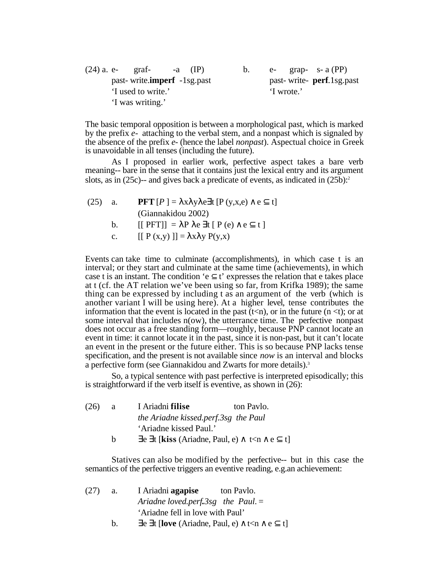| $(24)$ a. e- graf-<br>$-a$ (IP)     | $\mathbf{b}$ . | e- grap- $s-a$ (PP)         |
|-------------------------------------|----------------|-----------------------------|
| past-write. <b>imperf</b> -1sg.past |                | past-write- perf. 1sg. past |
| 'I used to write.'                  |                | 'I wrote.'                  |
| 'I was writing.'                    |                |                             |

The basic temporal opposition is between a morphological past, which is marked by the prefix *e-* attaching to the verbal stem, and a nonpast which is signaled by the absence of the prefix *e*- (hence the label *nonpast*). Aspectual choice in Greek is unavoidable in all tenses (including the future).

As I proposed in earlier work, perfective aspect takes a bare verb meaning-- bare in the sense that it contains just the lexical entry and its argument slots, as in  $(25c)$ -- and gives back a predicate of events, as indicated in  $(25b)$ :<sup>2</sup>

(25) a. **PFT**  $[P] = x y e t [P (y, x, e) e t]$ (Giannakidou 2002) b.  $[[PFT]] = P e t [P(e) e t]$ c.  $[[ P (x,y) ]] = x y P(y,x)$ 

Events can take time to culminate (accomplishments), in which case t is an interval; or they start and culminate at the same time (achievements), in which case t is an instant. The condition 'e  $t'$  expresses the relation that e takes place at t (cf. the AT relation we've been using so far, from Krifka 1989); the same thing can be expressed by including t as an argument of the verb (which is another variant  $\overline{I}$  will be using here). At a higher level, tense contributes the information that the event is located in the past  $(t\le n)$ , or in the future  $(n \le t)$ ; or at some interval that includes n(ow), the utterrance time. The perfective nonpast does not occur as a free standing form—roughly, because PNP cannot locate an event in time: it cannot locate it in the past, since it is non-past, but it can't locate an event in the present or the future either. This is so because PNP lacks tense specification, and the present is not available since *now* is an interval and blocks a perfective form (see Giannakidou and Zwarts for more details).<sup>3</sup>

So, a typical sentence with past perfective is interpreted episodically; this is straightforward if the verb itself is eventive, as shown in (26):

| (26) | a | I Ariadni filise                               | ton Paylo. |      |
|------|---|------------------------------------------------|------------|------|
|      |   | the Ariadne kissed.perf.3sg the Paul           |            |      |
|      |   | 'Ariadne kissed Paul.'                         |            |      |
|      | h | e t [ <b>kiss</b> (Ariadne, Paul, e) $t < n$ e |            | -t I |

Statives can also be modified by the perfective-- but in this case the semantics of the perfective triggers an eventive reading, e.g.an achievement:

(27) a. I Ariadni **agapise** ton Pavlo. *Ariadne loved.perf.3sg the Paul.* = 'Ariadne fell in love with Paul' b. e t  $[love(Ariadne, Paul, e) \t *n* e t]$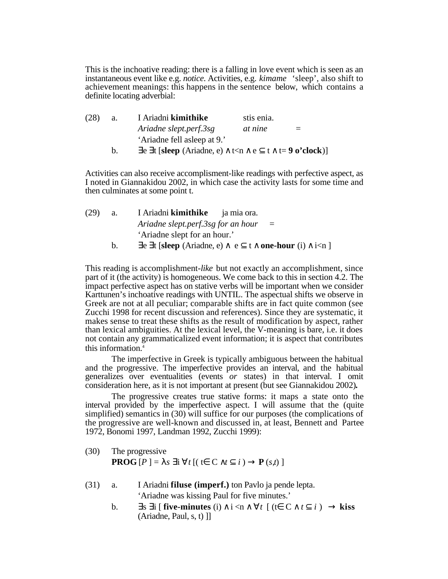This is the inchoative reading: there is a falling in love event which is seen as an instantaneous event like e.g. *notice*. Activities, e.g. *kimame* 'sleep', also shift to achievement meanings: this happens in the sentence below, which contains a definite locating adverbial:

| (28) | a.            | I Ariadni kimithike                                | stis enia.     |     |
|------|---------------|----------------------------------------------------|----------------|-----|
|      |               | Ariadne slept.perf.3sg                             | <i>at nine</i> | $=$ |
|      |               | 'Ariadne fell asleep at 9.'                        |                |     |
|      | $\mathbf b$ . | e t [sleep (Ariadne, e) $t < n$ e t t= 9 o'clock)] |                |     |

Activities can also receive accomplisment-like readings with perfective aspect, as I noted in Giannakidou 2002, in which case the activity lasts for some time and then culminates at some point t.

| (29) | a.        | I Ariadni <b>kimithike</b> ja mia ora.             |  |
|------|-----------|----------------------------------------------------|--|
|      |           | Ariadne slept.perf.3sg for an hour<br>$\equiv$     |  |
|      |           | 'Ariadne slept for an hour.'                       |  |
|      | $b_{\rm}$ | e t [sleep (Ariadne, e) e t one-hour (i) $i < n$ ] |  |

This reading is accomplishment-*like* but not exactly an accomplishment, since part of it (the activity) is homogeneous. We come back to this in section 4.2. The impact perfective aspect has on stative verbs will be important when we consider Karttunen's inchoative readings with UNTIL. The aspectual shifts we observe in Greek are not at all peculiar; comparable shifts are in fact quite common (see Zucchi 1998 for recent discussion and references). Since they are systematic, it makes sense to treat these shifts as the result of modification by aspect, rather than lexical ambiguities. At the lexical level, the V-meaning is bare, i.e. it does not contain any grammaticalized event information; it is aspect that contributes this information.<sup>4</sup>

The imperfective in Greek is typically ambiguous between the habitual and the progressive. The imperfective provides an interval, and the habitual generalizes over eventualities (events *or* states) in that interval. I omit consideration here, as it is not important at present (but see Giannakidou 2002)*.*

The progressive creates true stative forms: it maps a state onto the interval provided by the imperfective aspect. I will assume that the (quite simplified) semantics in (30) will suffice for our purposes (the complications of the progressive are well-known and discussed in, at least, Bennett and Partee 1972, Bonomi 1997, Landman 1992, Zucchi 1999):

(30) The progressive **PROG**  $[P] = s$  **i**  $t$   $[(t \ C \ t \ i) \ P(s,t)]$ 

- (31) a. I Ariadni **filuse (imperf.)** ton Pavlo ja pende lepta. 'Ariadne was kissing Paul for five minutes.'
	- b. s i **five-minutes** (i)  $i < n$  t  $(t < c$  t i) **kiss**  $(Ariadne, Paul, s, t)$ ]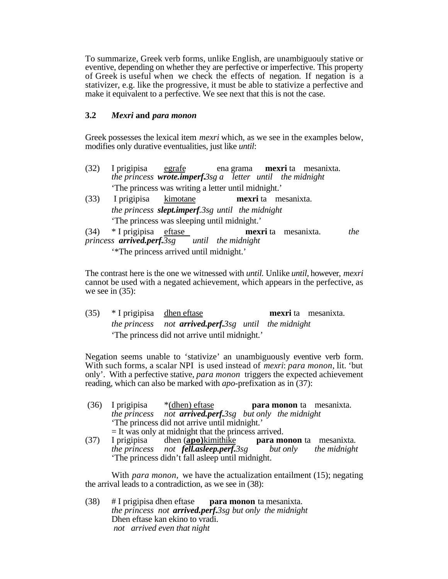To summarize, Greek verb forms, unlike English, are unambiguouly stative or eventive, depending on whether they are perfective or imperfective. This property of Greek is useful when we check the effects of negation. If negation is a stativizer, e.g. like the progressive, it must be able to stativize a perfective and make it equivalent to a perfective. We see next that this is not the case.

## **3.2** *Mexri* **and** *para monon*

Greek possesses the lexical item *mexri* which, as we see in the examples below, modifies only durative eventualities, just like *until*:

- (32) I prigipisa egrafe ena grama **mexri** ta mesanixta. *the princess wrote.imperf.3sg a letter until the midnight* 'The princess was writing a letter until midnight.'
- (33) I prigipisa kimotane **mexri** ta mesanixta. *the princess slept.imperf.3sg until the midnight* 'The princess was sleeping until midnight.'
- (34) \* I prigipisa eftase **mexri** ta mesanixta. *the princess arrived.perf.3sg* '\*The princess arrived until midnight.'

The contrast here is the one we witnessed with *until.* Unlike *until*, however, *mexri* cannot be used with a negated achievement, which appears in the perfective, as we see in (35):

(35) \* I prigipisa dhen eftase **mexri** ta mesanixta. *the princess not arrived.perf.3sg until the midnight* 'The princess did not arrive until midnight.'

Negation seems unable to 'stativize' an unambiguously eventive verb form. With such forms, a scalar NPI is used instead of *mexri*: *para monon*, lit. 'but only'. With a perfective stative, *para monon* triggers the expected achievement reading, which can also be marked with *apo*-prefixation as in (37):

- (36) I prigipisa \*(dhen) eftase **para monon** ta mesanixta. *the princess not arrived.perf.3sg but only the midnight* 'The princess did not arrive until midnight.'  $=$  It was only at midnight that the princess arrived.<br>I prigipisa dhen (apo) kimithike para mo
- (37) I prigipisa dhen (**apo**)kimithike **para monon** ta mesanixta.<br>the princess not **fell asleep, perf**, 3sg but only the midnight *the princess not <i>fell.asleep.perf.3sg but only* 'The princess didn't fall asleep until midnight.

With *para monon,* we have the actualization entailment (15); negating the arrival leads to a contradiction, as we see in (38):

(38) # I prigipisa dhen eftase **para monon** ta mesanixta. *the princess not arrived.perf.3sg but only the midnight* Dhen eftase kan ekino to vradi.  *not arrived even that night*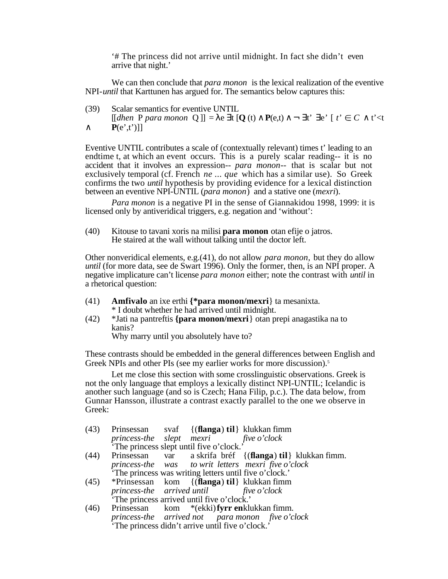'# The princess did not arrive until midnight. In fact she didn't even arrive that night.'

We can then conclude that *para monon* is the lexical realization of the eventive NPI-*until* that Karttunen has argued for. The semantics below captures this:

(39) Scalar semantics for eventive UNTIL  $[[\text{dhen P para monon Q}]] = e$  **t** $[Q(t) P(e,t) - t' e' [t' \in C \ t' \le t$  $P(e',t')$ ]]

Eventive UNTIL contributes a scale of (contextually relevant) times t' leading to an endtime t, at which an event occurs. This is a purely scalar reading-- it is no accident that it involves an expression-- *para monon*-- that is scalar but not exclusively temporal (cf. French *ne ... que* which has a similar use). So Greek confirms the two *until* hypothesis by providing evidence for a lexical distinction between an eventive NPI-UNTIL (*para monon*) and a stative one (*mexri*).

*Para monon* is a negative PI in the sense of Giannakidou 1998, 1999: it is licensed only by antiveridical triggers, e.g. negation and 'without':

(40) Kitouse to tavani xoris na milisi **para monon** otan efije o jatros. He staired at the wall without talking until the doctor left.

Other nonveridical elements, e.g.(41), do not allow *para monon,* but they do allow *until* (for more data, see de Swart 1996). Only the former, then, is an NPI proper. A negative implicature can't license *para monon* either; note the contrast with *until* in a rhetorical question:

- (41) **Amfivalo** an ixe erthi **{\*para monon/mexri**} ta mesanixta. \* I doubt whether he had arrived until midnight.
- (42) \*Jati na pantreftis **{para monon/mexri**} otan prepi anagastika na to kanis?

Why marry until you absolutely have to?

These contrasts should be embedded in the general differences between English and Greek NPIs and other PIs (see my earlier works for more discussion).<sup>5</sup>

Let me close this section with some crosslinguistic observations. Greek is not the only language that employs a lexically distinct NPI-UNTIL; Icelandic is another such language (and so is Czech; Hana Filip, p.c.). The data below, from Gunnar Hansson, illustrate a contrast exactly parallel to the one we observe in Greek:

|                                                                                   |  | (43) Prinsessan svaf {( <b>flanga</b> ) til} klukkan fimm               |
|-----------------------------------------------------------------------------------|--|-------------------------------------------------------------------------|
|                                                                                   |  |                                                                         |
| princess-the slept mexri five o'clock<br>'The princess slept until five o'clock.' |  |                                                                         |
|                                                                                   |  | (44) Prinsessan var a skrifa bréf {( <b>flanga) til</b> } klukkan fimm. |
|                                                                                   |  | princess-the was to writ letters mexri five o'clock                     |
|                                                                                   |  | The princess was writing letters until five o'clock.'                   |
|                                                                                   |  | (45) *Prinsessan kom {( <b>flanga</b> ) til} klukkan fimm               |
| <i>princess-the arrived until five o'clock</i>                                    |  |                                                                         |
| The princess arrived until five o'clock.'                                         |  |                                                                         |
|                                                                                   |  | (46) Prinsessan kom *(ekki) <b>fyrr en</b> klukkan fimm.                |
|                                                                                   |  | princess-the arrived not para monon five o'clock                        |

'The princess didn't arrive until five o'clock.'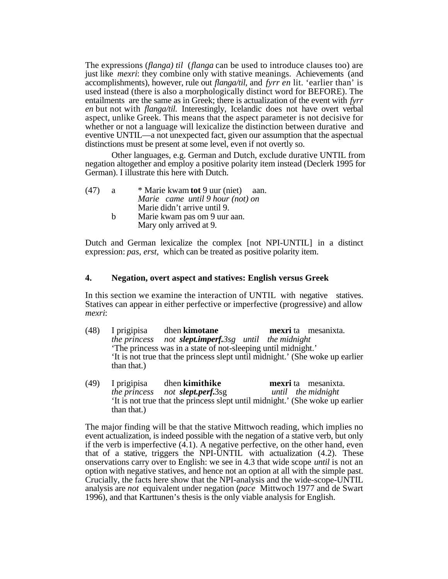The expressions (*flanga) til* (*flanga* can be used to introduce clauses too) are just like *mexri*: they combine only with stative meanings. Achievements (and accomplishments), however, rule out *flanga/til*, and *fyrr en* lit. 'earlier than' is used instead (there is also a morphologically distinct word for BEFORE). The entailments are the same as in Greek; there is actualization of the event with *fyrr en* but not with *flanga/til.* Interestingly, Icelandic does not have overt verbal aspect, unlike Greek. This means that the aspect parameter is not decisive for whether or not a language will lexicalize the distinction between durative and eventive UNTIL—a not unexpected fact, given our assumption that the aspectual distinctions must be present at some level, even if not overtly so.

Other languages, e.g. German and Dutch, exclude durative UNTIL from negation altogether and employ a positive polarity item instead (Declerk 1995 for German). I illustrate this here with Dutch.

| a | * Marie kwam tot 9 uur (niet) aan. |
|---|------------------------------------|
|   | Marie came until 9 hour (not) on   |
|   | Marie didn't arrive until 9.       |
| h | Marie kwam pas om 9 uur aan.       |
|   |                                    |

Mary only arrived at 9.

Dutch and German lexicalize the complex [not NPI-UNTIL] in a distinct expression: *pas, erst,* which can be treated as positive polarity item.

# **4. Negation, overt aspect and statives: English versus Greek**

In this section we examine the interaction of UNTIL with negative statives. Statives can appear in either perfective or imperfective (progressive) and allow *mexri*:

- (48) I prigipisa dhen **kimotane mexri** ta mesanixta. *the princess not slept.imperf.3sg until the midnight* 'The princess was in a state of not-sleeping until midnight.' 'It is not true that the princess slept until midnight.' (She woke up earlier than that.)
- (49) I prigipisa dhen **kimithike mexri** ta mesanixta. *the princess not slept.perf.*3sg *until the midnight* 'It is not true that the princess slept until midnight.' (She woke up earlier than that.)

The major finding will be that the stative Mittwoch reading, which implies no event actualization, is indeed possible with the negation of a stative verb, but only if the verb is imperfective  $(4.1)$ . A negative perfective, on the other hand, even that of a stative, triggers the NPI-UNTIL with actualization (4.2). These onservations carry over to English: we see in 4.3 that wide scope *until* is not an option with negative statives, and hence not an option at all with the simple past. Crucially, the facts here show that the NPI-analysis and the wide-scope-UNTIL analysis are *not* equivalent under negation (*pace* Mittwoch 1977 and de Swart 1996), and that Karttunen's thesis is the only viable analysis for English.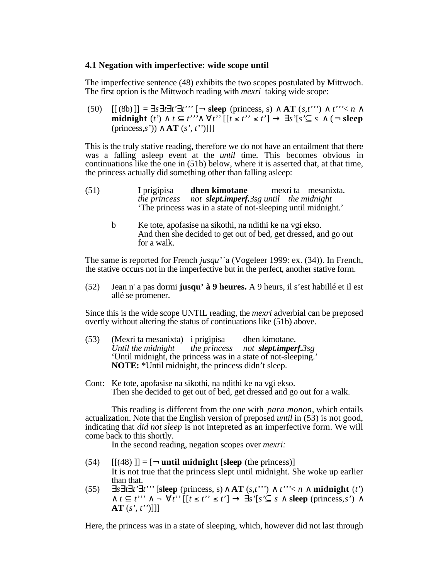#### **4.1 Negation with imperfective: wide scope until**

The imperfective sentence (48) exhibits the two scopes postulated by Mittwoch. The first option is the Mittwoch reading with *mexri* taking wide scope:

(50)  $[[ (8b) ]] = s t t' t''' [- \text{sleep (princess, s)} \text{AT}(s, t'')' - t'' \le n$ **midnight** (*t'*) *t t'''*  $t'$  *t''*  $[t \le t'']$  *s'*[*s'* $\subseteq$  *s* (¬ **sleep** (princess,*s'*)) **AT** (*s', t''*)]]]

This is the truly stative reading, therefore we do not have an entailment that there was a falling asleep event at the *until* time. This becomes obvious in continuations like the one in (51b) below, where it is asserted that, at that time, the princess actually did something other than falling asleep:

- (51) I prigipisa **dhen kimotane** mexri ta mesanixta. *the princess not slept.imperf.3sg until the midnight* 'The princess was in a state of not-sleeping until midnight.'
	- b Ke tote, apofasise na sikothi, na ndithi ke na vgi ekso. And then she decided to get out of bed, get dressed, and go out for a walk.

The same is reported for French *jusqu'*`a (Vogeleer 1999: ex. (34)). In French, the stative occurs not in the imperfective but in the perfect, another stative form.

(52) Jean n' a pas dormi **jusqu' à 9 heures.** A 9 heurs, il s'est habillé et il est allé se promener.

Since this is the wide scope UNTIL reading, the *mexri* adverbial can be preposed overtly without altering the status of continuations like (51b) above.

- (53) (Mexri ta mesanixta) i prigipisa dhen kimotane.<br>Until the midnight the princess not **slept.imper** *the princess not <i>slept.imperf.3sg* 'Until midnight, the princess was in a state of not-sleeping.' **NOTE:** \*Until midnight, the princess didn't sleep.
- Cont: Ke tote, apofasise na sikothi, na ndithi ke na vgi ekso. Then she decided to get out of bed, get dressed and go out for a walk.

This reading is different from the one with *para monon*, which entails actualization. Note that the English version of preposed *until* in (53) is not good, indicating that *did not sleep* is not intepreted as an imperfective form. We will come back to this shortly.

In the second reading, negation scopes over *mexri:*

- $(54)$   $[[(48)]] = [-$  **until midnight** [sleep (the princess)] It is not true that the princess slept until midnight. She woke up earlier than that.
- (55)  $s \, t \, t' \, t''$  [sleep (princess, s)  $\mathbf{AT}(s, t'') \, t'' \leq n$  midnight  $(t')$  $t \quad t^{\prime\prime} \quad \rightarrow \quad t^{\prime\prime}$  [[ $t \leq t^{\prime\prime} \leq t^{\prime}$ ] *s'*[ $s' \subseteq s$  **sleep** (princess,*s'*) **AT** (*s', t''*)]]]

Here, the princess was in a state of sleeping, which, however did not last through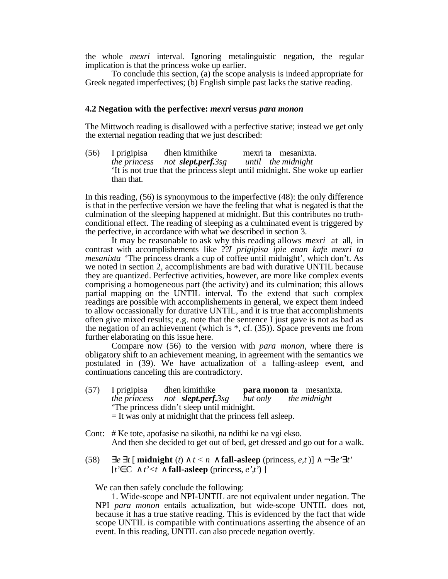the whole *mexri* interval. Ignoring metalinguistic negation, the regular implication is that the princess woke up earlier.

To conclude this section, (a) the scope analysis is indeed appropriate for Greek negated imperfectives; (b) English simple past lacks the stative reading.

### **4.2 Negation with the perfective:** *mexri* **versus** *para monon*

The Mittwoch reading is disallowed with a perfective stative; instead we get only the external negation reading that we just described:

(56) I prigipisa dhen kimithike mexri ta mesanixta.<br>the princess not **slept.perf.**3sg until the midnight *not slept.perf.3sg* 'It is not true that the princess slept until midnight. She woke up earlier than that.

In this reading, (56) is synonymous to the imperfective (48): the only difference is that in the perfective version we have the feeling that what is negated is that the culmination of the sleeping happened at midnight. But this contributes no truthconditional effect. The reading of sleeping as a culminated event is triggered by the perfective, in accordance with what we described in section 3.

It may be reasonable to ask why this reading allows *mexri* at all, in contrast with accomplishements like ??*I prigipisa ipie enan kafe mexri ta mesanixta* 'The princess drank a cup of coffee until midnight', which don't. As we noted in section 2, accomplishments are bad with durative UNTIL because they are quantized. Perfective activities, however, are more like complex events comprising a homogeneous part (the activity) and its culmination; this allows partial mapping on the UNTIL interval. To the extend that such complex readings are possible with accomplishements in general, we expect them indeed to allow occassionally for durative UNTIL, and it is true that accomplishments often give mixed results; e.g. note that the sentence I just gave is not as bad as the negation of an achievement (which is  $*$ , cf. (35)). Space prevents me from further elaborating on this issue here.

Compare now (56) to the version with *para monon*, where there is obligatory shift to an achievement meaning, in agreement with the semantics we postulated in (39). We have actualization of a falling-asleep event, and continuations canceling this are contradictory.

- (57) I prigipisa dhen kimithike **para monon** ta mesanixta. *the princess not slept.perf.3sg but only the midnight* 'The princess didn't sleep until midnight.  $=$  It was only at midnight that the princess fell asleep.
- Cont: # Ke tote, apofasise na sikothi, na ndithi ke na vgi ekso. And then she decided to get out of bed, get dressed and go out for a walk.
- (58) *e*  $t \left[ \text{midnight } (t) \mid t < n \text{ fall-} \text{asleep (princess, } e, t) \right] \rightarrow e' \ t'$  $[t' \ C \ t' \leq t \ \ \text{fall-asleep (princess, e' \ t') }$

We can then safely conclude the following:

1. Wide-scope and NPI-UNTIL are not equivalent under negation. The NPI *para monon* entails actualization, but wide-scope UNTIL does not, because it has a true stative reading. This is evidenced by the fact that wide scope UNTIL is compatible with continuations asserting the absence of an event. In this reading, UNTIL can also precede negation overtly.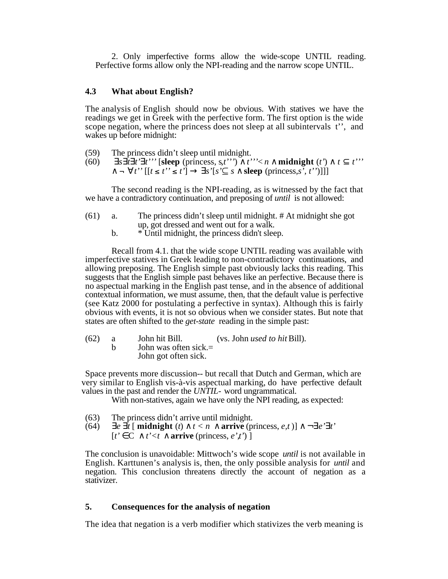2. Only imperfective forms allow the wide-scope UNTIL reading. Perfective forms allow only the NPI-reading and the narrow scope UNTIL.

# **4.3 What about English?**

The analysis of English should now be obvious. With statives we have the readings we get in Greek with the perfective form. The first option is the wide scope negation, where the princess does not sleep at all subintervals t'', and wakes up before midnight:

- (59) The princess didn't sleep until midnight.
- (60)  $s \quad t \quad t' \quad t''$  [sleep (princess, s, t'')<sup> $\left(t''\right) \quad t' \quad t''$ </sup>  $\tau'$  *t''*  $[[t \le t''] \le s' \le s'$ **sleep** (princess,*s', t''*)]]]

The second reading is the NPI-reading, as is witnessed by the fact that we have a contradictory continuation, and preposing of *until* is not allowed:

- (61) a. The princess didn't sleep until midnight. # At midnight she got up, got dressed and went out for a walk.
	- b. \* Until midnight, the princess didn't sleep.

Recall from 4.1. that the wide scope UNTIL reading was available with imperfective statives in Greek leading to non-contradictory continuations, and allowing preposing. The English simple past obviously lacks this reading. This suggests that the English simple past behaves like an perfective. Because there is no aspectual marking in the English past tense, and in the absence of additional contextual information, we must assume, then, that the default value is perfective (see Katz 2000 for postulating a perfective in syntax). Although this is fairly obvious with events, it is not so obvious when we consider states. But note that states are often shifted to the *get-state* reading in the simple past:

(62) a John hit Bill. (vs. John *used to hit* Bill). b John was often sick. $=$ John got often sick.

Space prevents more discussion-- but recall that Dutch and German, which are very similar to English vis-à-vis aspectual marking, do have perfective default values in the past and render the *UNTIL-* word ungrammatical.

With non-statives, again we have only the NPI reading, as expected:

- (63) The princess didn't arrive until midnight.
- (64) *e t* [ **midnight** (*t*)  $t < n$  **arrive** (princess, *e,t*)] ¬ *e' t'* 
	- $[t' \ C \ t' < t \$  **arrive** (princess,  $e'$ ,*t*) ]

The conclusion is unavoidable: Mittwoch's wide scope *until* is not available in English. Karttunen's analysis is, then, the only possible analysis for *until* and negation. This conclusion threatens directly the account of negation as a stativizer.

# **5. Consequences for the analysis of negation**

The idea that negation is a verb modifier which stativizes the verb meaning is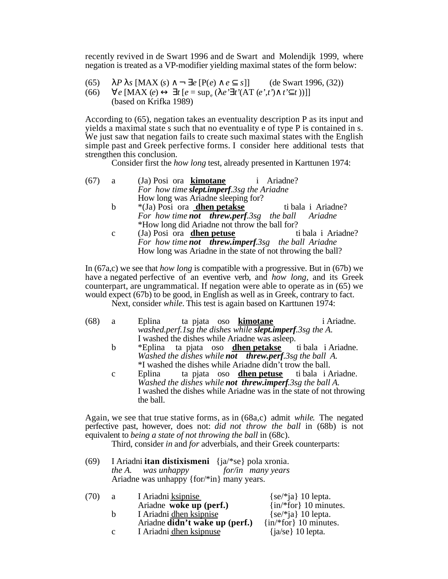recently revived in de Swart 1996 and de Swart and Molendijk 1999, where negation is treated as a VP-modifier yielding maximal states of the form below:

(65) *P s* [MAX (*s*) ¬ *e* [P(*e*) *e s*]] (de Swart 1996, (32))  $(66)$  *e* [MAX  $(e)$  $t [ e = \sup_{s} ( e^{t} t' (AT (e', t') - t' - t))] ]$ (based on Krifka 1989)

According to (65), negation takes an eventuality description P as its input and yields a maximal state s such that no eventuality e of type P is contained in s. We just saw that negation fails to create such maximal states with the English simple past and Greek perfective forms. I consider here additional tests that strengthen this conclusion.

Consider first the *how long* test, already presented in Karttunen 1974:

| (67) | a a          | (Ja) Posi ora <b>kimotane</b> i Ariadne?                  |                    |
|------|--------------|-----------------------------------------------------------|--------------------|
|      |              | For how time slept.imperf.3sg the Ariadne                 |                    |
|      |              | How long was Ariadne sleeping for?                        |                    |
|      | b            | *(Ja) Posi ora <b>dhen petakse</b> ti bala i Ariadne?     |                    |
|      |              | For how time <b>not threw.perf.3sg</b> the ball Ariadne   |                    |
|      |              | *How long did Ariadne not throw the ball for?             |                    |
|      | $\mathbf{c}$ | (Ja) Posi ora dhen petuse                                 | ti bala i Ariadne? |
|      |              | For how time <b>not threw.imperf.3sg</b> the ball Ariadne |                    |

In (67a,c) we see that *how long* is compatible with a progressive. But in (67b) we have a negated perfective of an eventive verb, and *how long,* and its Greek counterpart, are ungrammatical. If negation were able to operate as in (65) we would expect (67b) to be good, in English as well as in Greek, contrary to fact.

How long was Ariadne in the state of not throwing the ball?

Next, consider *while.* This test is again based on Karttunen 1974:

- (68) a Eplina ta pjata oso **kimotane** i Ariadne. *washed.perf.1sg the dishes while slept.imperf.3sg the A.* I washed the dishes while Ariadne was asleep.<br>\*Eplina ta pjata oso **dhen petakse** ti bala i Ariadne.
	- b \*Eplina ta pjata oso **dhen petakse** *Washed the dishes while not threw.perf.3sg the ball A.* <sup>\*</sup>I washed the dishes while Ariadne didn't trow the ball.<br>Eplina ta pjata oso **dhen petuse** ti bala i Ariadne.
	- c Eplina ta pjata oso **dhen petuse** *Washed the dishes while not threw.imperf.3sg the ball A.* I washed the dishes while Ariadne was in the state of not throwing the ball.

Again, we see that true stative forms, as in (68a,c) admit *while*. The negated perfective past, however, does not: *did not throw the ball* in (68b) is not equivalent to *being a state of not throwing the ball* in (68c).

Third, consider *in* and *for* adverbials, and their Greek counterparts:

(69) I Ariadni **itan distixismeni** {ja/\*se} pola xronia. *the A. was unhappy* Ariadne was unhappy {for/\*in} many years.

| $\{se/*ja\}$ 10 lepta.<br>I Ariadni ksipnise                |
|-------------------------------------------------------------|
| $\{in/*for\}$ 10 minutes.<br>Ariadne woke up (perf.)        |
| I Ariadni dhen ksipnise<br>$\{se/\hat{ } \}$ 10 lepta.      |
| $\{in/*for\}$ 10 minutes.<br>Ariadne didn't wake up (perf.) |
| I Ariadni dhen ksipnuse<br>$\{ja\$ 10 lepta.                |
|                                                             |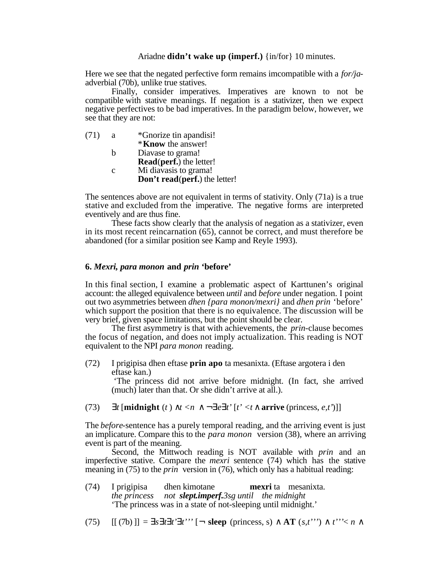### Ariadne **didn't wake up (imperf.)** {in/for} 10 minutes.

Here we see that the negated perfective form remains imcompatible with a *for/ja*adverbial (70b), unlike true statives.

Finally, consider imperatives. Imperatives are known to not be compatible with stative meanings. If negation is a stativizer, then we expect negative perfectives to be bad imperatives. In the paradigm below, however, we see that they are not:

| (71) | a | *Gnorize tin apandisi!         |
|------|---|--------------------------------|
|      |   | * <b>Know</b> the answer!      |
|      | h | Diavase to grama!              |
|      |   | <b>Read(perf.)</b> the letter! |
|      | C | Mi diavasis to grama!          |
|      |   | Don't read(perf.) the letter!  |

The sentences above are not equivalent in terms of stativity. Only (71a) is a true stative and excluded from the imperative. The negative forms are interpreted eventively and are thus fine.

These facts show clearly that the analysis of negation as a stativizer, even in its most recent reincarnation (65), cannot be correct, and must therefore be abandoned (for a similar position see Kamp and Reyle 1993).

## **6.** *Mexri, para monon* **and** *prin* **'before'**

In this final section, I examine a problematic aspect of Karttunen's original account: the alleged equivalence between *until* and *before* under negation. I point out two asymmetries between *dhen {para monon/mexri}* and *dhen prin* 'before' which support the position that there is no equivalence. The discussion will be very brief, given space limitations, but the point should be clear.

The first asymmetry is that with achievements, the *prin-*clause becomes the focus of negation, and does not imply actualization. This reading is NOT equivalent to the NPI *para monon* reading.

(72) I prigipisa dhen eftase **prin apo** ta mesanixta. (Eftase argotera i den eftase kan.)

> 'The princess did not arrive before midnight. (In fact, she arrived (much) later than that. Or she didn't arrive at all.).

(73)  $t$  [**midnight**  $(t)$   $t < n$  ¬  $e$   $t'$  [ $t' < t$  **arrive** (princess, *e,t'*)]]

The *before*-sentence has a purely temporal reading, and the arriving event is just an implicature. Compare this to the *para monon* version (38), where an arriving event is part of the meaning.

Second, the Mittwoch reading is NOT available with *prin* and an imperfective stative. Compare the *mexri* sentence (74) which has the stative meaning in (75) to the *prin* version in (76), which only has a habitual reading:

(74) I prigipisa dhen kimotane **mexri** ta mesanixta. *the princess not slept.imperf.3sg until the midnight* 'The princess was in a state of not-sleeping until midnight.'

(75)  $[[ (7b) ]] = s t t' t''' [- s \text{keep (priness, s)} \text{AT}(s, t'') ' t'' \le n$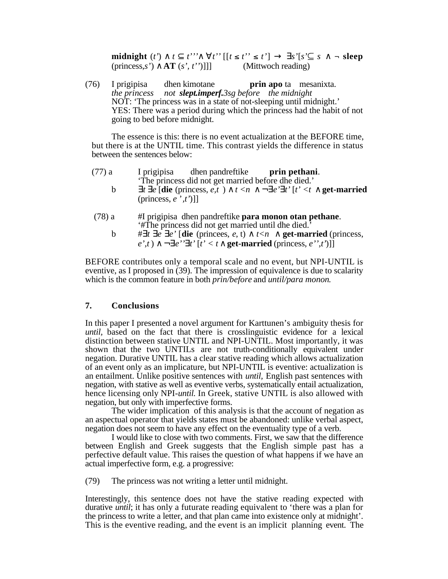**midnight** (*t'*) *t t'''*  $t'$  *t''*  $[t \le t'']$  *s'*[ $s' \subseteq s$  - **sleep** (princess,*s'*) **AT** (*s', t''*)]]] (Mittwoch reading)

(76) I prigipisa dhen kimotane **prin apo** ta mesanixta. *the princess not slept.imperf.3sg before the midnight* NOT: 'The princess was in a state of not-sleeping until midnight.' YES: There was a period during which the princess had the habit of not going to bed before midnight.

The essence is this: there is no event actualization at the BEFORE time, but there is at the UNTIL time. This contrast yields the difference in status between the sentences below:

| (77) a |                                            | I prigipisa dhen pandreftike <b>prin pethani</b> .                                  |  |
|--------|--------------------------------------------|-------------------------------------------------------------------------------------|--|
|        |                                            | The princess did not get married before dhe died.'                                  |  |
| b      | (princess, $e^{\prime}$ , $t^{\prime}$ )]] | t e [die (princess, e,t) $t < n$ – e' t' [t' <t get-married<="" td=""><td></td></t> |  |
| (78) a |                                            | #I prigipisa dhen pandreftike <b>para monon otan pethane</b> .                      |  |

'#The princess did not get married until dhe died.' b  $\# t \ e \ e'$  [die (princess,  $e$ , t)  $t < n$  get-married (princess,  $e',t$   $\rightarrow$   $e''$   $t'$   $[t' < t$  **get-married** (princess,  $e'',t'$ )]]

BEFORE contributes only a temporal scale and no event, but NPI-UNTIL is eventive, as I proposed in (39). The impression of equivalence is due to scalarity which is the common feature in both *prin/before* and *until/para monon*.

## **7. Conclusions**

In this paper I presented a novel argument for Karttunen's ambiguity thesis for *until,* based on the fact that there is crosslinguistic evidence for a lexical distinction between stative UNTIL and NPI-UNTIL. Most importantly, it was shown that the two UNTILs are not truth-conditionally equivalent under negation. Durative UNTIL has a clear stative reading which allows actualization of an event only as an implicature, but NPI-UNTIL is eventive: actualization is an entailment. Unlike positive sentences with *until,* English past sentences with negation, with stative as well as eventive verbs, systematically entail actualization, hence licensing only NPI-*until.* In Greek, stative UNTIL is also allowed with negation, but only with imperfective forms.

The wider implication of this analysis is that the account of negation as an aspectual operator that yields states must be abandoned: unlike verbal aspect, negation does not seem to have any effect on the eventuality type of a verb.

I would like to close with two comments. First, we saw that the difference between English and Greek suggests that the English simple past has a perfective default value. This raises the question of what happens if we have an actual imperfective form, e.g. a progressive:

(79) The princess was not writing a letter until midnight.

Interestingly, this sentence does not have the stative reading expected with durative *until*; it has only a futurate reading equivalent to 'there was a plan for the princess to write a letter, and that plan came into existence only at midnight'. This is the eventive reading, and the event is an implicit planning event. The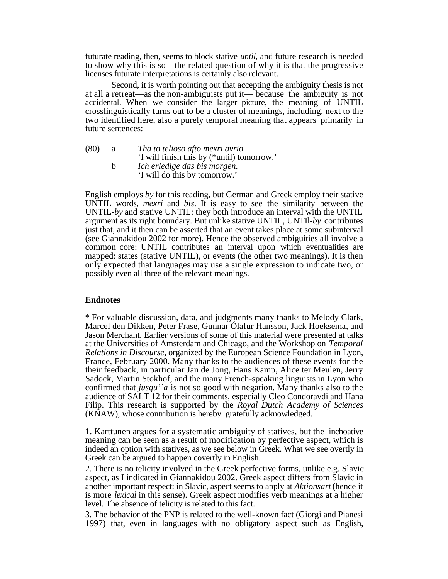futurate reading, then, seems to block stative *until*, and future research is needed to show why this is so—the related question of why it is that the progressive licenses futurate interpretations is certainly also relevant.

Second, it is worth pointing out that accepting the ambiguity thesis is not at all a retreat—as the non-ambiguists put it— because the ambiguity is not accidental. When we consider the larger picture, the meaning of UNTIL crosslinguistically turns out to be a cluster of meanings, including, next to the two identified here, also a purely temporal meaning that appears primarily in future sentences:

(80) a *Tha to telioso afto mexri avrio.* 'I will finish this by (\*until) tomorrow.' b *Ich erledige das bis morgen.* 'I will do this by tomorrow.'

English employs *by* for this reading, but German and Greek employ their stative UNTIL words, *mexri* and *bis*. It is easy to see the similarity between the UNTIL-*by* and stative UNTIL: they both introduce an interval with the UNTIL argument as its right boundary. But unlike stative UNTIL, UNTIl-*by* contributes just that, and it then can be asserted that an event takes place at some subinterval (see Giannakidou 2002 for more). Hence the observed ambiguities all involve a common core: UNTIL contributes an interval upon which eventualities are mapped: states (stative UNTIL), or events (the other two meanings). It is then only expected that languages may use a single expression to indicate two, or possibly even all three of the relevant meanings.

# **Endnotes**

\* For valuable discussion, data, and judgments many thanks to Melody Clark, Marcel den Dikken, Peter Frase, Gunnar Ólafur Hansson, Jack Hoeksema, and Jason Merchant. Earlier versions of some of this material were presented at talks at the Universities of Amsterdam and Chicago, and the Workshop on *Temporal Relations in Discourse*, organized by the European Science Foundation in Lyon, France, February 2000. Many thanks to the audiences of these events for the their feedback, in particular Jan de Jong, Hans Kamp, Alice ter Meulen, Jerry Sadock, Martin Stokhof, and the many French-speaking linguists in Lyon who confirmed that *jusqu'`a* is not so good with negation. Many thanks also to the audience of SALT 12 for their comments, especially Cleo Condoravdi and Hana Filip. This research is supported by the *Royal Dutch Academy of Sciences* (KNAW), whose contribution is hereby gratefully acknowledged.

1. Karttunen argues for a systematic ambiguity of statives, but the inchoative meaning can be seen as a result of modification by perfective aspect, which is indeed an option with statives, as we see below in Greek. What we see overtly in Greek can be argued to happen covertly in English.

2. There is no telicity involved in the Greek perfective forms, unlike e.g. Slavic aspect, as I indicated in Giannakidou 2002. Greek aspect differs from Slavic in another important respect: in Slavic, aspect seems to apply at *Aktionsart* (hence it is more *lexical* in this sense). Greek aspect modifies verb meanings at a higher level. The absence of telicity is related to this fact.

3. The behavior of the PNP is related to the well-known fact (Giorgi and Pianesi 1997) that, even in languages with no obligatory aspect such as English,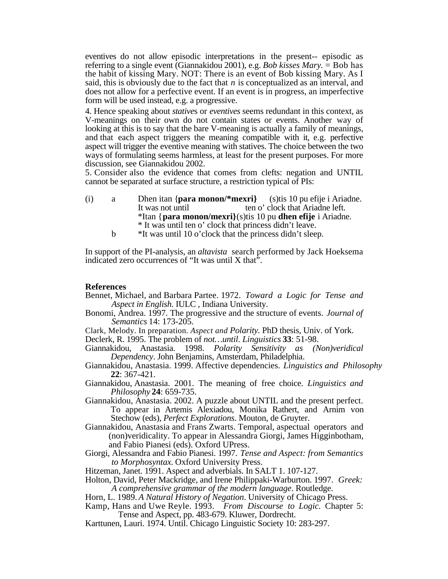eventives do not allow episodic interpretations in the present-- episodic as referring to a single event (Giannakidou 2001), e.g. *Bob kisses Mary.* = Bob has the habit of kissing Mary. NOT: There is an event of Bob kissing Mary. As I said, this is obviously due to the fact that *n* is conceptualized as an interval, and does not allow for a perfective event. If an event is in progress, an imperfective form will be used instead, e.g. a progressive.

4. Hence speaking about *stative*s or *eventives* seems redundant in this context, as V-meanings on their own do not contain states or events. Another way of looking at this is to say that the bare V-meaning is actually a family of meanings, and that each aspect triggers the meaning compatible with it, e.g. perfective aspect will trigger the eventive meaning with statives. The choice between the two ways of formulating seems harmless, at least for the present purposes. For more discussion, see Giannakidou 2002.

5. Consider also the evidence that comes from clefts: negation and UNTIL cannot be separated at surface structure, a restriction typical of PIs:

- (i) a Dhen itan {**para monon/\*mexri}** (s)tis 10 pu efije i Ariadne. It was not until ten o' clock that Ariadne left. \*Itan {**para monon/mexri}**(s)tis 10 pu **dhen efije** i Ariadne. \* It was until ten o' clock that princess didn't leave.
	- b \*It was until 10 o'clock that the princess didn't sleep.

In support of the PI-analysis, an *altavista* search performed by Jack Hoeksema indicated zero occurrences of "It was until  $X$  that".

## **References**

- Bennet, Michael, and Barbara Partee. 1972. *Toward a Logic for Tense and Aspect in English*. IULC , Indiana University.
- Bonomi, Andrea. 1997. The progressive and the structure of events. *Journal of Semantics* 14: 173-205.

Clark, Melody. In preparation. *Aspect and Polarity.* PhD thesis, Univ. of York.

Declerk, R. 1995. The problem of *not…until*. *Linguistics* **33**: 51-98.

- Giannakidou, Anastasia. 1998. *Polarity Sensitivity as (Non)veridical Dependency*. John Benjamins, Amsterdam, Philadelphia.
- Giannakidou, Anastasia. 1999. Affective dependencies. *Linguistics and Philosophy* **22**: 367-421.
- Giannakidou, Anastasia. 2001. The meaning of free choice. *Linguistics and Philosophy* **24**: 659-735.
- Giannakidou, Anastasia. 2002. A puzzle about UNTIL and the present perfect. To appear in Artemis Alexiadou, Monika Rathert, and Arnim von Stechow (eds), *Perfect Explorations*. Mouton, de Gruyter.
- Giannakidou, Anastasia and Frans Zwarts. Temporal, aspectual operators and (non)veridicality. To appear in Alessandra Giorgi, James Higginbotham, and Fabio Pianesi (eds). Oxford UPress.
- Giorgi, Alessandra and Fabio Pianesi. 1997. *Tense and Aspect: from Semantics to Morphosyntax.* Oxford University Press.

Hitzeman, Janet. 1991. Aspect and adverbials. In SALT 1. 107-127.

- Holton, David, Peter Mackridge, and Irene Philippaki-Warburton. 1997. *Greek: A comprehensive grammar of the modern language*. Routledge.
- Horn, L. 1989. *A Natural History of Negation*. University of Chicago Press.
- Kamp, Hans and Uwe Reyle. 1993. *From Discourse to Logic.* Chapter 5: Tense and Aspect, pp. 483-679. Kluwer, Dordrecht.
- Karttunen, Lauri. 1974. Until. Chicago Linguistic Society 10: 283-297.